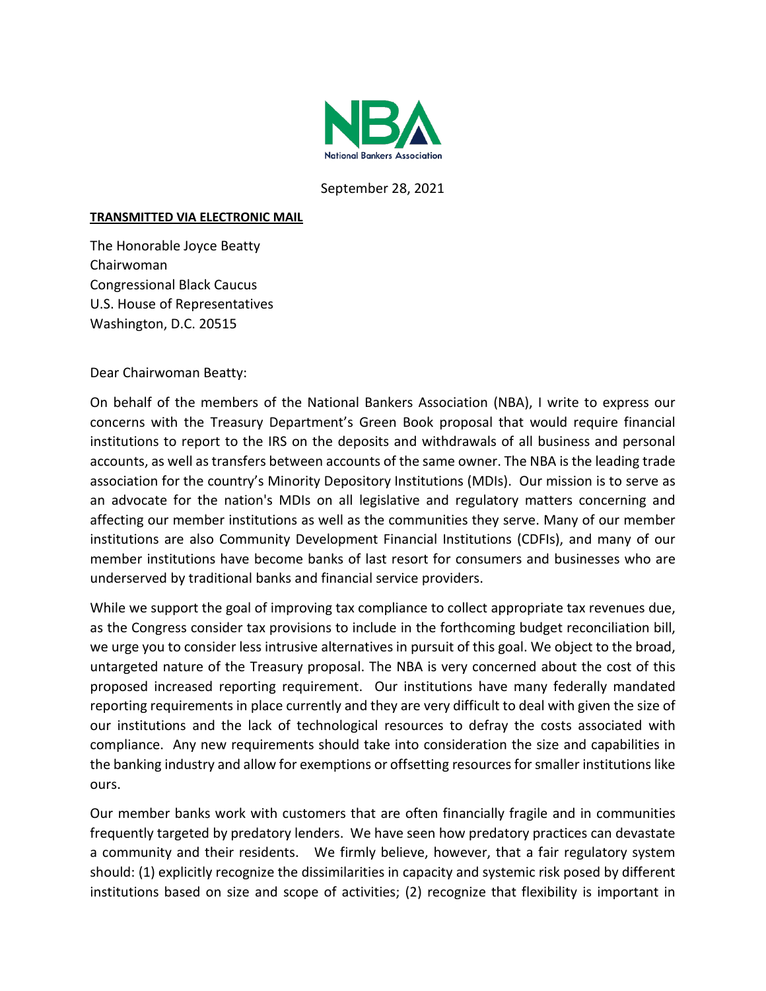

September 28, 2021

## **TRANSMITTED VIA ELECTRONIC MAIL**

The Honorable Joyce Beatty Chairwoman Congressional Black Caucus U.S. House of Representatives Washington, D.C. 20515

Dear Chairwoman Beatty:

On behalf of the members of the National Bankers Association (NBA), I write to express our concerns with the Treasury Department's Green Book proposal that would require financial institutions to report to the IRS on the deposits and withdrawals of all business and personal accounts, as well as transfers between accounts of the same owner. The NBA is the leading trade association for the country's Minority Depository Institutions (MDIs). Our mission is to serve as an advocate for the nation's MDIs on all legislative and regulatory matters concerning and affecting our member institutions as well as the communities they serve. Many of our member institutions are also Community Development Financial Institutions (CDFIs), and many of our member institutions have become banks of last resort for consumers and businesses who are underserved by traditional banks and financial service providers.

While we support the goal of improving tax compliance to collect appropriate tax revenues due, as the Congress consider tax provisions to include in the forthcoming budget reconciliation bill, we urge you to consider less intrusive alternatives in pursuit of this goal. We object to the broad, untargeted nature of the Treasury proposal. The NBA is very concerned about the cost of this proposed increased reporting requirement. Our institutions have many federally mandated reporting requirements in place currently and they are very difficult to deal with given the size of our institutions and the lack of technological resources to defray the costs associated with compliance. Any new requirements should take into consideration the size and capabilities in the banking industry and allow for exemptions or offsetting resources for smaller institutions like ours.

Our member banks work with customers that are often financially fragile and in communities frequently targeted by predatory lenders. We have seen how predatory practices can devastate a community and their residents. We firmly believe, however, that a fair regulatory system should: (1) explicitly recognize the dissimilarities in capacity and systemic risk posed by different institutions based on size and scope of activities; (2) recognize that flexibility is important in